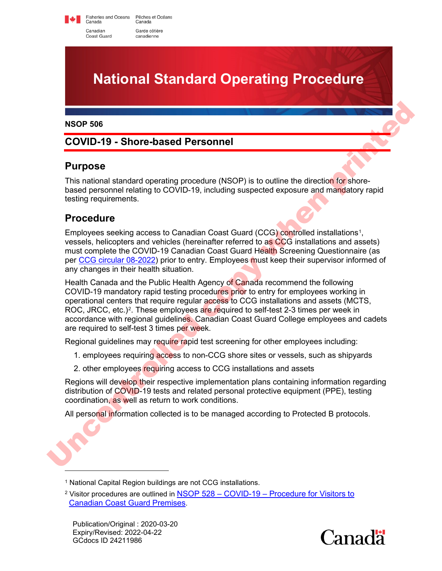Fisheries and Oceans<br>Canada Pêches et Océans Canada Canadian Garde côtière Coast Guard canadienne



#### **NSOP 506**

## **COVID-19 - Shore-based Personnel**

#### **Purpose**

This national standard operating procedure (NSOP) is to outline the direction for shorebased personnel relating to COVID-19, including suspected exposure and mandatory rapid testing requirements.

#### **Procedure**

Employees seeking access to Canadian Coast Guard (CCG) controlled installations1, vessels, helicopters and vehicles (hereinafter referred to as CCG installations and assets) must complete the COVID-19 Canadian Coast Guard Health Screening Questionnaire (as per CCG circular 08-2022) prior to entry. Employees must keep their supervisor informed of any changes in their health situation.

Health Canada and the Public Health Agency of Canada recommend the following COVID-19 mandatory rapid testing procedures prior to entry for employees working in operational centers that require regular access to CCG installations and assets (MCTS, ROC, JRCC, etc.)<sup>2</sup>. These employees are required to self-test 2-3 times per week in accordance with regional guidelines. Canadian Coast Guard College employees and cadets are required to self-test 3 times per week. Noor 506<br>
COVID-19 - Shore-based Personnel<br>
Purpose<br>
This national standard operating procedure (NSOP) is to outline the direction for shore-<br>
This national standard operating to COVID-19, including suspected exposure and

Regional guidelines may require rapid test screening for other employees including:

- 1. employees requiring access to non-CCG shore sites or vessels, such as shipyards
- 2. other employees requiring access to CCG installations and assets

Regions will develop their respective implementation plans containing information regarding distribution of COVID-19 tests and related personal protective equipment (PPE), testing coordination, as well as return to work conditions.

All personal information collected is to be managed according to Protected B protocols.



<span id="page-0-0"></span><sup>&</sup>lt;sup>1</sup> National Capital Region buildings are not CCG installations.

<span id="page-0-1"></span><sup>2</sup> Visitor procedures are outlined in [NSOP 528 – COVID-19 – Procedure for Visitors to](https://www.ccg-gcc.gc.ca/publications/NSOP-PONEN/528-eng.html)  [Canadian Coast Guard Premises.](https://www.ccg-gcc.gc.ca/publications/NSOP-PONEN/528-eng.html)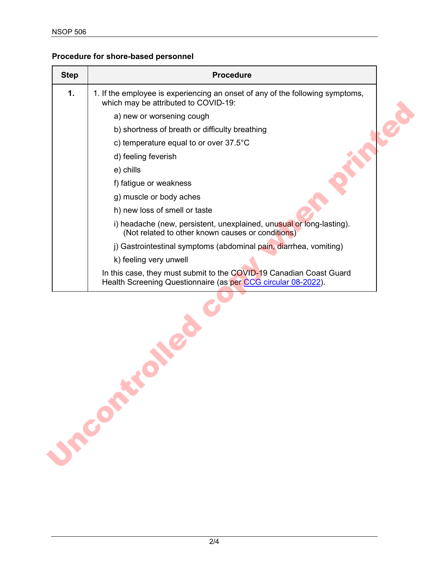### **Procedure for shore-based personnel**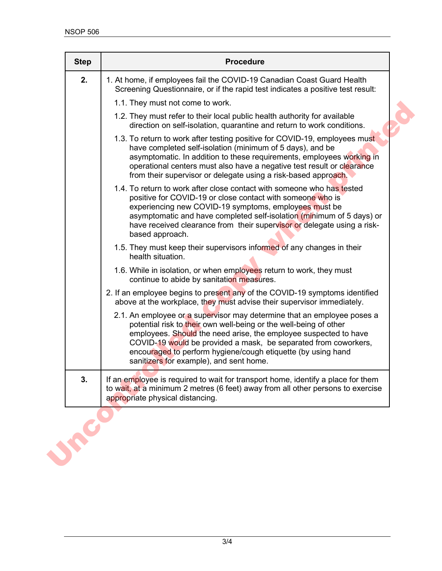| <b>Step</b> | <b>Procedure</b>                                                                                                                                                                                                                                                                                                                                                                               |
|-------------|------------------------------------------------------------------------------------------------------------------------------------------------------------------------------------------------------------------------------------------------------------------------------------------------------------------------------------------------------------------------------------------------|
| 2.          | 1. At home, if employees fail the COVID-19 Canadian Coast Guard Health<br>Screening Questionnaire, or if the rapid test indicates a positive test result:                                                                                                                                                                                                                                      |
|             | 1.1. They must not come to work.                                                                                                                                                                                                                                                                                                                                                               |
|             | 1.2. They must refer to their local public health authority for available<br>direction on self-isolation, quarantine and return to work conditions.                                                                                                                                                                                                                                            |
|             | 1.3. To return to work after testing positive for COVID-19, employees must<br>have completed self-isolation (minimum of 5 days), and be<br>asymptomatic. In addition to these requirements, employees working in<br>operational centers must also have a negative test result or clearance<br>from their supervisor or delegate using a risk-based approach.                                   |
|             | 1.4. To return to work after close contact with someone who has tested<br>positive for COVID-19 or close contact with someone who is<br>experiencing new COVID-19 symptoms, employees must be<br>asymptomatic and have completed self-isolation (minimum of 5 days) or<br>have received clearance from their supervisor or delegate using a risk-<br>based approach.                           |
|             | 1.5. They must keep their supervisors informed of any changes in their<br>health situation.                                                                                                                                                                                                                                                                                                    |
|             | 1.6. While in isolation, or when employees return to work, they must<br>continue to abide by sanitation measures.                                                                                                                                                                                                                                                                              |
|             | 2. If an employee begins to present any of the COVID-19 symptoms identified<br>above at the workplace, they must advise their supervisor immediately.                                                                                                                                                                                                                                          |
|             | 2.1. An employee or a supervisor may determine that an employee poses a<br>potential risk to their own well-being or the well-being of other<br>employees. Should the need arise, the employee suspected to have<br>COVID-19 would be provided a mask, be separated from coworkers,<br>encouraged to perform hygiene/cough etiquette (by using hand<br>sanitizers for example), and sent home. |
| 3.          | If an employee is required to wait for transport home, identify a place for them<br>to wait, at a minimum 2 metres (6 feet) away from all other persons to exercise<br>appropriate physical distancing.                                                                                                                                                                                        |